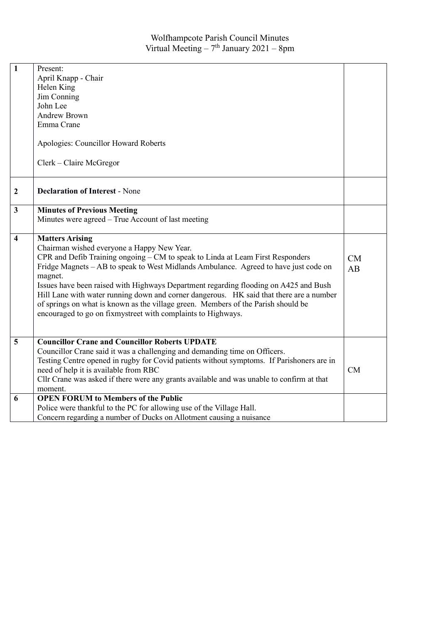| $\mathbf{1}$            | Present:<br>April Knapp - Chair<br>Helen King<br>Jim Conning<br>John Lee<br><b>Andrew Brown</b><br>Emma Crane<br>Apologies: Councillor Howard Roberts<br>Clerk - Claire McGregor                                                                                                                                                                                                                                                                                                                                                                                                                  |                 |
|-------------------------|---------------------------------------------------------------------------------------------------------------------------------------------------------------------------------------------------------------------------------------------------------------------------------------------------------------------------------------------------------------------------------------------------------------------------------------------------------------------------------------------------------------------------------------------------------------------------------------------------|-----------------|
| $\boldsymbol{2}$        | <b>Declaration of Interest - None</b>                                                                                                                                                                                                                                                                                                                                                                                                                                                                                                                                                             |                 |
| $\overline{\mathbf{3}}$ | <b>Minutes of Previous Meeting</b>                                                                                                                                                                                                                                                                                                                                                                                                                                                                                                                                                                |                 |
|                         | Minutes were agreed – True Account of last meeting                                                                                                                                                                                                                                                                                                                                                                                                                                                                                                                                                |                 |
| $\overline{\mathbf{4}}$ | <b>Matters Arising</b><br>Chairman wished everyone a Happy New Year.<br>CPR and Defib Training ongoing - CM to speak to Linda at Leam First Responders<br>Fridge Magnets - AB to speak to West Midlands Ambulance. Agreed to have just code on<br>magnet.<br>Issues have been raised with Highways Department regarding flooding on A425 and Bush<br>Hill Lane with water running down and corner dangerous. HK said that there are a number<br>of springs on what is known as the village green. Members of the Parish should be<br>encouraged to go on fixmystreet with complaints to Highways. | <b>CM</b><br>AB |
| 5                       | <b>Councillor Crane and Councillor Roberts UPDATE</b><br>Councillor Crane said it was a challenging and demanding time on Officers.<br>Testing Centre opened in rugby for Covid patients without symptoms. If Parishoners are in<br>need of help it is available from RBC<br>Cllr Crane was asked if there were any grants available and was unable to confirm at that<br>moment.                                                                                                                                                                                                                 | <b>CM</b>       |
| 6                       | <b>OPEN FORUM to Members of the Public</b><br>Police were thankful to the PC for allowing use of the Village Hall.<br>Concern regarding a number of Ducks on Allotment causing a nuisance                                                                                                                                                                                                                                                                                                                                                                                                         |                 |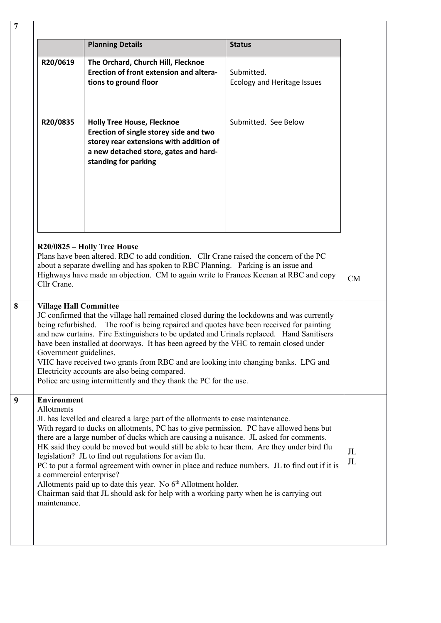|                                              | <b>Planning Details</b>                                                                                                                                                                                                                                                                                                                                                                                                                                                                                                                                              | <b>Status</b>                             |
|----------------------------------------------|----------------------------------------------------------------------------------------------------------------------------------------------------------------------------------------------------------------------------------------------------------------------------------------------------------------------------------------------------------------------------------------------------------------------------------------------------------------------------------------------------------------------------------------------------------------------|-------------------------------------------|
|                                              |                                                                                                                                                                                                                                                                                                                                                                                                                                                                                                                                                                      |                                           |
| R20/0619                                     | The Orchard, Church Hill, Flecknoe<br>Erection of front extension and altera-<br>tions to ground floor                                                                                                                                                                                                                                                                                                                                                                                                                                                               | Submitted.<br>Ecology and Heritage Issues |
| R20/0835                                     | <b>Holly Tree House, Flecknoe</b><br>Erection of single storey side and two<br>storey rear extensions with addition of<br>a new detached store, gates and hard-<br>standing for parking                                                                                                                                                                                                                                                                                                                                                                              | Submitted. See Below                      |
|                                              | R20/0825 - Holly Tree House                                                                                                                                                                                                                                                                                                                                                                                                                                                                                                                                          |                                           |
| Cllr Crane.                                  | Plans have been altered. RBC to add condition. Cllr Crane raised the concern of the PC<br>about a separate dwelling and has spoken to RBC Planning. Parking is an issue and<br>Highways have made an objection. CM to again write to Frances Keenan at RBC and copy                                                                                                                                                                                                                                                                                                  |                                           |
| <b>Village Hall Committee</b>                |                                                                                                                                                                                                                                                                                                                                                                                                                                                                                                                                                                      |                                           |
| being refurbished.<br>Government guidelines. | JC confirmed that the village hall remained closed during the lockdowns and was currently<br>The roof is being repaired and quotes have been received for painting<br>and new curtains. Fire Extinguishers to be updated and Urinals replaced. Hand Sanitisers<br>have been installed at doorways. It has been agreed by the VHC to remain closed under<br>VHC have received two grants from RBC and are looking into changing banks. LPG and<br>Electricity accounts are also being compared.<br>Police are using intermittently and they thank the PC for the use. |                                           |